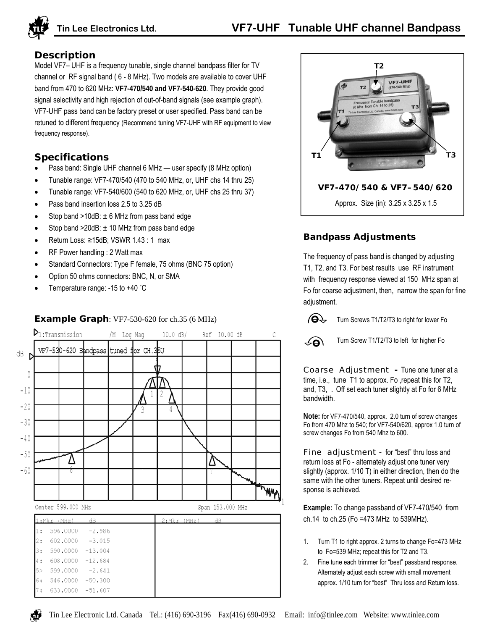

# **Description**

Model VF7– UHF is a frequency tunable, single channel bandpass filter for TV channel or RF signal band ( 6 - 8 MHz). Two models are available to cover UHF band from 470 to 620 MHz: **VF7-470/540 and VF7-540-620**. They provide good signal selectivity and high rejection of out-of-band signals (see example graph). VF7-UHF pass band can be factory preset or user specified. Pass band can be retuned to different frequency (Recommend tuning VF7-UHF with RF equipment to view frequency response).

# **Specifications**

- Pass band: Single UHF channel 6 MHz user specify (8 MHz option)
- Tunable range: VF7-470/540 (470 to 540 MHz, or, UHF chs 14 thru 25)
- Tunable range: VF7-540/600 (540 to 620 MHz, or, UHF chs 25 thru 37)
- Pass band insertion loss 2.5 to 3.25 dB
- Stop band  $>10$ dB:  $\pm$  6 MHz from pass band edge
- Stop band  $>20$ dB:  $\pm$  10 MHz from pass band edge
- Return Loss: ≥15dB; VSWR 1.43 : 1 max
- RF Power handling : 2 Watt max
- Standard Connectors: Type F female, 75 ohms (BNC 75 option)
- Option 50 ohms connectors: BNC, N, or SMA
- Temperature range: -15 to +40 °C

# **Example Graph**: VF7-530-620 for ch.35 (6 MHz)





# **Bandpass Adjustments**

The frequency of pass band is changed by adjusting T1, T2, and T3. For best results use RF instrument with frequency response viewed at 150 MHz span at Fo for coarse adjustment, then, narrow the span for fine adjustment.

 $\Theta^{\mathcal{P}}$ Turn Screws T1/T2/T3 to right for lower Fo



Turn Screw T1/T2/T3 to left for higher Fo

Coarse Adjustment **-** Tune one tuner at a time, i.e., tune T1 to approx. Fo ,repeat this for T2, and, T3, . Off set each tuner slightly at Fo for 6 MHz bandwidth.

**Note:** for VF7-470/540, approx. 2.0 turn of screw changes Fo from 470 Mhz to 540; for VF7-540/620, approx 1.0 turn of screw changes Fo from 540 Mhz to 600.

**Fine adjustment** - for "best" thru loss and return loss at Fo - alternately adjust one tuner very slightly (approx. 1/10 T) in either direction, then do the same with the other tuners. Repeat until desired response is achieved.

**Example:** To change passband of VF7-470/540 from ch.14 to ch.25 (Fo =473 MHz to 539MHz).

- 1. Turn T1 to right approx. 2 turns to change Fo=473 MHz to Fo=539 MHz; repeat this for T2 and T3.
- 2. Fine tune each trimmer for "best" passband response. Alternately adjust each screw with small movement approx. 1/10 turn for "best" Thru loss and Return loss.